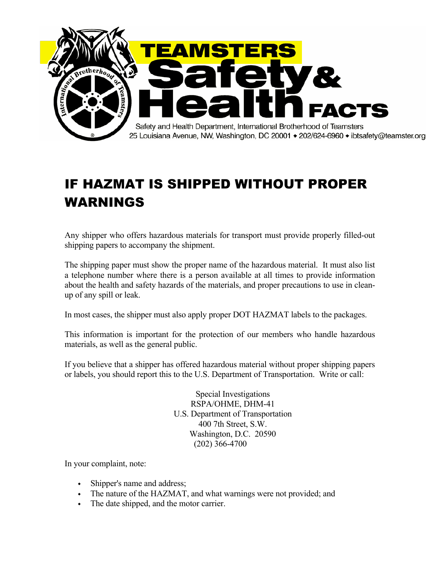

## IF HAZMAT IS SHIPPED WITHOUT PROPER WARNINGS

Any shipper who offers hazardous materials for transport must provide properly filled-out shipping papers to accompany the shipment.

The shipping paper must show the proper name of the hazardous material. It must also list a telephone number where there is a person available at all times to provide information about the health and safety hazards of the materials, and proper precautions to use in cleanup of any spill or leak.

In most cases, the shipper must also apply proper DOT HAZMAT labels to the packages.

This information is important for the protection of our members who handle hazardous materials, as well as the general public.

If you believe that a shipper has offered hazardous material without proper shipping papers or labels, you should report this to the U.S. Department of Transportation. Write or call:

> Special Investigations RSPA/OHME, DHM-41 U.S. Department of Transportation 400 7th Street, S.W. Washington, D.C. 20590 (202) 366-4700

In your complaint, note:

- Shipper's name and address;
- The nature of the HAZMAT, and what warnings were not provided; and
- The date shipped, and the motor carrier.